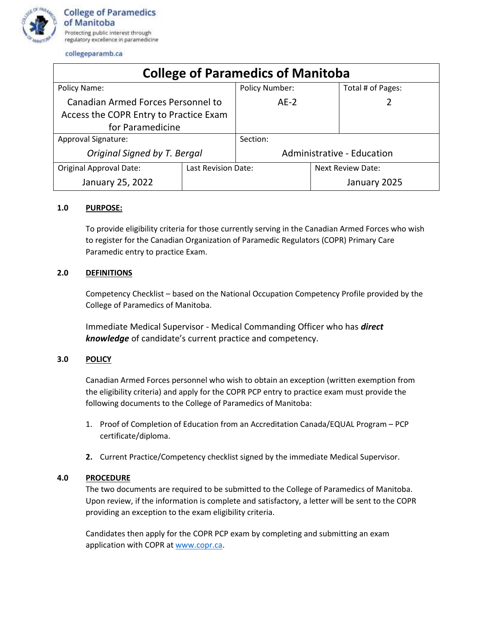

collegeparamb.ca

| <b>College of Paramedics of Manitoba</b>  |                     |                            |  |                          |
|-------------------------------------------|---------------------|----------------------------|--|--------------------------|
| Policy Name:                              |                     | <b>Policy Number:</b>      |  | Total # of Pages:        |
| <b>Canadian Armed Forces Personnel to</b> |                     | $AF-2$                     |  |                          |
| Access the COPR Entry to Practice Exam    |                     |                            |  |                          |
| for Paramedicine                          |                     |                            |  |                          |
| Approval Signature:                       |                     | Section:                   |  |                          |
| Original Signed by T. Bergal              |                     | Administrative - Education |  |                          |
| <b>Original Approval Date:</b>            | Last Revision Date: |                            |  | <b>Next Review Date:</b> |
| January 25, 2022                          |                     |                            |  | January 2025             |

## **1.0 PURPOSE:**

To provide eligibility criteria for those currently serving in the Canadian Armed Forces who wish to register for the Canadian Organization of Paramedic Regulators (COPR) Primary Care Paramedic entry to practice Exam.

## **2.0 DEFINITIONS**

Competency Checklist – based on the National Occupation Competency Profile provided by the College of Paramedics of Manitoba.

Immediate Medical Supervisor - Medical Commanding Officer who has *direct knowledge* of candidate's current practice and competency.

## **3.0 POLICY**

Canadian Armed Forces personnel who wish to obtain an exception (written exemption from the eligibility criteria) and apply for the COPR PCP entry to practice exam must provide the following documents to the College of Paramedics of Manitoba:

- 1. Proof of Completion of Education from an Accreditation Canada/EQUAL Program PCP certificate/diploma.
- **2.** Current Practice/Competency checklist signed by the immediate Medical Supervisor.

## **4.0 PROCEDURE**

The two documents are required to be submitted to the College of Paramedics of Manitoba. Upon review, if the information is complete and satisfactory, a letter will be sent to the COPR providing an exception to the exam eligibility criteria.

Candidates then apply for the COPR PCP exam by completing and submitting an exam application with COPR at [www.copr.ca.](http://www.copr.ca/)